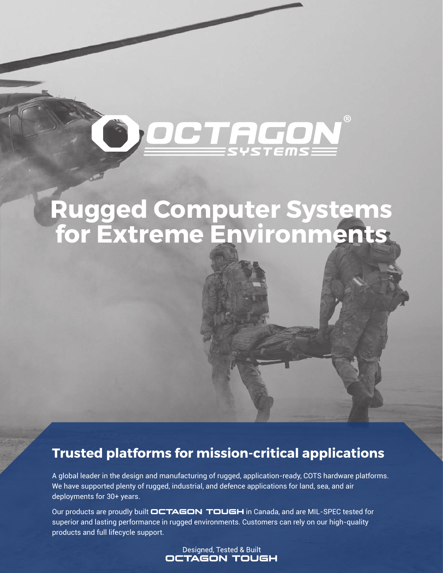## ® FICO

## **Rugged Computer Systems for Extreme Environments**

### **Trusted platforms for mission-critical applications**

A global leader in the design and manufacturing of rugged, application-ready, COTS hardware platforms. We have supported plenty of rugged, industrial, and defence applications for land, sea, and air deployments for 30+ years.

Our products are proudly built **OCTAGON TOUGH** in Canada, and are MIL-SPEC tested for superior and lasting performance in rugged environments. Customers can rely on our high-quality products and full lifecycle support.

> Designed, Tested & Built **OCTAGON TOUGH**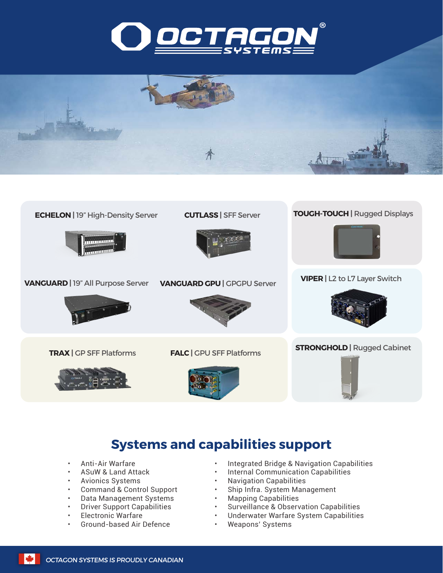





#### **Systems and capabilities support**

- Anti-Air Warfare
- ASuW & Land Attack
- Avionics Systems
- Command & Control Support
- Data Management Systems
- Driver Support Capabilities
- Electronic Warfare
- Ground-based Air Defence
- Integrated Bridge & Navigation Capabilities
- Internal Communication Capabilities
- Navigation Capabilities
- Ship Infra. System Management<br>• Manning Capabilities
- Mapping Capabilities
- Surveillance & Observation Capabilities
- Underwater Warfare System Capabilities
- Weapons' Systems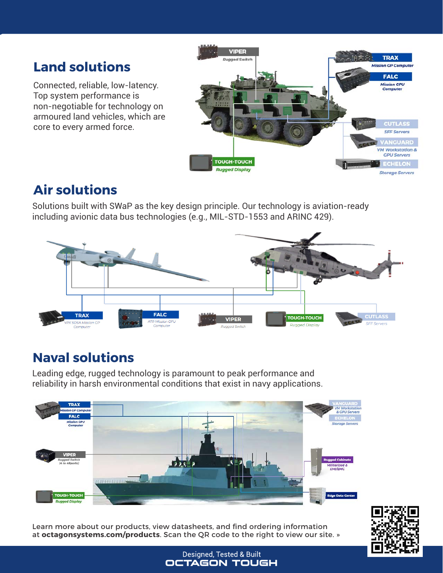### **Land solutions**

Connected, reliable, low-latency. Top system performance is non-negotiable for technology on armoured land vehicles, which are core to every armed force.



#### **Air solutions**

Solutions built with SWaP as the key design principle. Our technology is aviation-ready including avionic data bus technologies (e.g., MIL-STD-1553 and ARINC 429).



### **Naval solutions**

Leading edge, rugged technology is paramount to peak performance and reliability in harsh environmental conditions that exist in navy applications.



Learn more about our products, view datasheets, and find ordering information at **octagonsystems.com/products**. Scan the QR code to the right to view our site. »



Designed, Tested & Built **OCTAGON TOUGH**